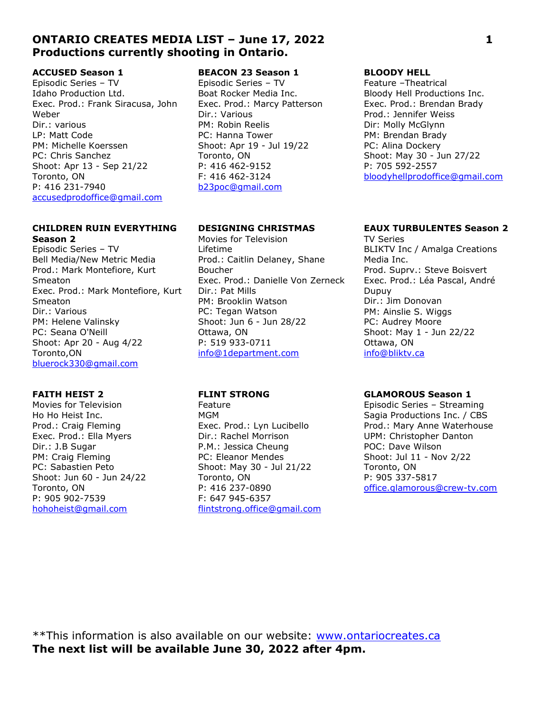# ONTARIO CREATES MEDIA LIST – June 17, 2022 1 Productions currently shooting in Ontario.

# ACCUSED Season 1

Episodic Series – TV Idaho Production Ltd. Exec. Prod.: Frank Siracusa, John Weber Dir.: various LP: Matt Code PM: Michelle Koerssen PC: Chris Sanchez Shoot: Apr 13 - Sep 21/22 Toronto, ON P: 416 231-7940 accusedprodoffice@gmail.com

## CHILDREN RUIN EVERYTHING Season 2

Episodic Series – TV Bell Media/New Metric Media Prod.: Mark Montefiore, Kurt Smeaton Exec. Prod.: Mark Montefiore, Kurt Smeaton Dir.: Various PM: Helene Valinsky PC: Seana O'Neill Shoot: Apr 20 - Aug 4/22 Toronto,ON bluerock330@gmail.com

## FAITH HEIST 2

Movies for Television Ho Ho Heist Inc. Prod.: Craig Fleming Exec. Prod.: Ella Myers Dir.: J.B Sugar PM: Craig Fleming PC: Sabastien Peto Shoot: Jun 60 - Jun 24/22 Toronto, ON P: 905 902-7539 hohoheist@gmail.com

# BEACON 23 Season 1

Episodic Series – TV Boat Rocker Media Inc. Exec. Prod.: Marcy Patterson Dir.: Various PM: Robin Reelis PC: Hanna Tower Shoot: Apr 19 - Jul 19/22 Toronto, ON P: 416 462-9152 F: 416 462-3124 b23poc@gmail.com

# DESIGNING CHRISTMAS

Movies for Television Lifetime Prod.: Caitlin Delaney, Shane Boucher Exec. Prod.: Danielle Von Zerneck Dir.: Pat Mills PM: Brooklin Watson PC: Tegan Watson Shoot: Jun 6 - Jun 28/22 Ottawa, ON P: 519 933-0711 info@1department.com

### FLINT STRONG

Feature MGM Exec. Prod.: Lyn Lucibello Dir.: Rachel Morrison P.M.: Jessica Cheung PC: Eleanor Mendes Shoot: May 30 - Jul 21/22 Toronto, ON P: 416 237-0890 F: 647 945-6357 flintstrong.office@gmail.com

### BLOODY HELL

Feature –Theatrical Bloody Hell Productions Inc. Exec. Prod.: Brendan Brady Prod.: Jennifer Weiss Dir: Molly McGlynn PM: Brendan Brady PC: Alina Dockery Shoot: May 30 - Jun 27/22 P: 705 592-2557 bloodyhellprodoffice@gmail.com

### EAUX TURBULENTES Season 2

TV Series BLIKTV Inc / Amalga Creations Media Inc. Prod. Suprv.: Steve Boisvert Exec. Prod.: Léa Pascal, André Dupuy Dir.: Jim Donovan PM: Ainslie S. Wiggs PC: Audrey Moore Shoot: May 1 - Jun 22/22 Ottawa, ON info@bliktv.ca

## GLAMOROUS Season 1

Episodic Series – Streaming Sagia Productions Inc. / CBS Prod.: Mary Anne Waterhouse UPM: Christopher Danton POC: Dave Wilson Shoot: Jul 11 - Nov 2/22 Toronto, ON P: 905 337-5817 office.glamorous@crew-tv.com

\*\*This information is also available on our website: www.ontariocreates.ca The next list will be available June 30, 2022 after 4pm.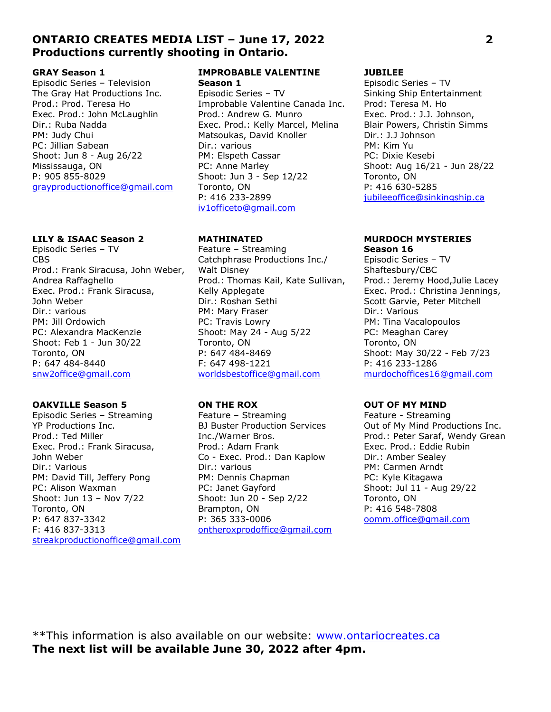# ONTARIO CREATES MEDIA LIST – June 17, 2022 2 Productions currently shooting in Ontario.

### GRAY Season 1

Episodic Series – Television The Gray Hat Productions Inc. Prod.: Prod. Teresa Ho Exec. Prod.: John McLaughlin Dir.: Ruba Nadda PM: Judy Chui PC: Jillian Sabean Shoot: Jun 8 - Aug 26/22 Mississauga, ON P: 905 855-8029 grayproductionoffice@gmail.com

### LILY & ISAAC Season 2

Episodic Series – TV CBS Prod.: Frank Siracusa, John Weber, Andrea Raffaghello Exec. Prod.: Frank Siracusa, John Weber Dir.: various PM: Jill Ordowich PC: Alexandra MacKenzie Shoot: Feb 1 - Jun 30/22 Toronto, ON P: 647 484-8440 snw2office@gmail.com

## OAKVILLE Season 5

Episodic Series – Streaming YP Productions Inc. Prod.: Ted Miller Exec. Prod.: Frank Siracusa, John Weber Dir.: Various PM: David Till, Jeffery Pong PC: Alison Waxman Shoot: Jun 13 – Nov 7/22 Toronto, ON P: 647 837-3342 F: 416 837-3313 streakproductionoffice@gmail.com

### IMPROBABLE VALENTINE Season 1

Episodic Series – TV Improbable Valentine Canada Inc. Prod.: Andrew G. Munro Exec. Prod.: Kelly Marcel, Melina Matsoukas, David Knoller Dir.: various PM: Elspeth Cassar PC: Anne Marley Shoot: Jun 3 - Sep 12/22 Toronto, ON P: 416 233-2899 iv1officeto@gmail.com

## MATHINATED

Feature – Streaming Catchphrase Productions Inc./ Walt Disney Prod.: Thomas Kail, Kate Sullivan, Kelly Applegate Dir.: Roshan Sethi PM: Mary Fraser PC: Travis Lowry Shoot: May 24 - Aug 5/22 Toronto, ON P: 647 484-8469 F: 647 498-1221 worldsbestoffice@gmail.com

## ON THE ROX

Feature – Streaming BJ Buster Production Services Inc./Warner Bros. Prod.: Adam Frank Co - Exec. Prod.: Dan Kaplow Dir.: various PM: Dennis Chapman PC: Janet Gayford Shoot: Jun 20 - Sep 2/22 Brampton, ON P: 365 333-0006 ontheroxprodoffice@gmail.com

### JUBILEE

Episodic Series – TV Sinking Ship Entertainment Prod: Teresa M. Ho Exec. Prod.: J.J. Johnson, Blair Powers, Christin Simms Dir.: J.J Johnson PM: Kim Yu PC: Dixie Kesebi Shoot: Aug 16/21 - Jun 28/22 Toronto, ON P: 416 630-5285 jubileeoffice@sinkingship.ca

### MURDOCH MYSTERIES Season 16

Episodic Series – TV Shaftesbury/CBC Prod.: Jeremy Hood,Julie Lacey Exec. Prod.: Christina Jennings, Scott Garvie, Peter Mitchell Dir.: Various PM: Tina Vacalopoulos PC: Meaghan Carey Toronto, ON Shoot: May 30/22 - Feb 7/23 P: 416 233-1286 murdochoffices16@gmail.com

## OUT OF MY MIND

Feature - Streaming Out of My Mind Productions Inc. Prod.: Peter Saraf, Wendy Grean Exec. Prod.: Eddie Rubin Dir.: Amber Sealey PM: Carmen Arndt PC: Kyle Kitagawa Shoot: Jul 11 - Aug 29/22 Toronto, ON P: 416 548-7808 oomm.office@gmail.com

\*\*This information is also available on our website: www.ontariocreates.ca The next list will be available June 30, 2022 after 4pm.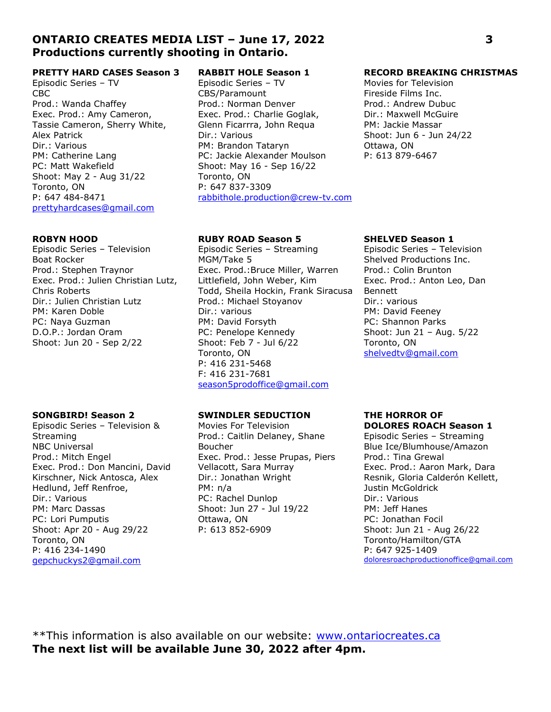# ONTARIO CREATES MEDIA LIST – June 17, 2022 3 Productions currently shooting in Ontario.

## PRETTY HARD CASES Season 3

Episodic Series – TV CBC Prod.: Wanda Chaffey Exec. Prod.: Amy Cameron, Tassie Cameron, Sherry White, Alex Patrick Dir.: Various PM: Catherine Lang PC: Matt Wakefield Shoot: May 2 - Aug 31/22 Toronto, ON P: 647 484-8471 prettyhardcases@gmail.com

### ROBYN HOOD

Episodic Series – Television Boat Rocker Prod.: Stephen Traynor Exec. Prod.: Julien Christian Lutz, Chris Roberts Dir.: Julien Christian Lutz PM: Karen Doble PC: Naya Guzman D.O.P.: Jordan Oram Shoot: Jun 20 - Sep 2/22

## SONGBIRD! Season 2

Episodic Series – Television & Streaming NBC Universal Prod.: Mitch Engel Exec. Prod.: Don Mancini, David Kirschner, Nick Antosca, Alex Hedlund, Jeff Renfroe, Dir.: Various PM: Marc Dassas PC: Lori Pumputis Shoot: Apr 20 - Aug 29/22 Toronto, ON P: 416 234-1490 gepchuckys2@gmail.com

# RABBIT HOLE Season 1

Episodic Series – TV CBS/Paramount Prod.: Norman Denver Exec. Prod.: Charlie Goglak, Glenn Ficarrra, John Requa Dir.: Various PM: Brandon Tataryn PC: Jackie Alexander Moulson Shoot: May 16 - Sep 16/22 Toronto, ON P: 647 837-3309 rabbithole.production@crew-tv.com

## RUBY ROAD Season 5

Episodic Series – Streaming MGM/Take 5 Exec. Prod.:Bruce Miller, Warren Littlefield, John Weber, Kim Todd, Sheila Hockin, Frank Siracusa Prod.: Michael Stoyanov Dir.: various PM: David Forsyth PC: Penelope Kennedy Shoot: Feb 7 - Jul 6/22 Toronto, ON P: 416 231-5468 F: 416 231-7681 season5prodoffice@gmail.com

## SWINDLER SEDUCTION

Movies For Television Prod.: Caitlin Delaney, Shane Boucher Exec. Prod.: Jesse Prupas, Piers Vellacott, Sara Murray Dir.: Jonathan Wright PM: n/a PC: Rachel Dunlop Shoot: Jun 27 - Jul 19/22 Ottawa, ON P: 613 852-6909

### RECORD BREAKING CHRISTMAS

Movies for Television Fireside Films Inc. Prod.: Andrew Dubuc Dir.: Maxwell McGuire PM: Jackie Massar Shoot: Jun 6 - Jun 24/22 Ottawa, ON P: 613 879-6467

### SHELVED Season 1

Episodic Series – Television Shelved Productions Inc. Prod.: Colin Brunton Exec. Prod.: Anton Leo, Dan Bennett Dir.: various PM: David Feeney PC: Shannon Parks Shoot: Jun 21 – Aug. 5/22 Toronto, ON shelvedtv@gmail.com

### THE HORROR OF DOLORES ROACH Season 1

Episodic Series – Streaming Blue Ice/Blumhouse/Amazon Prod.: Tina Grewal Exec. Prod.: Aaron Mark, Dara Resnik, Gloria Calderón Kellett, Justin McGoldrick Dir.: Various PM: Jeff Hanes PC: Jonathan Focil Shoot: Jun 21 - Aug 26/22 Toronto/Hamilton/GTA P: 647 925-1409 doloresroachproductionoffice@gmail.com

\*\*This information is also available on our website: www.ontariocreates.ca The next list will be available June 30, 2022 after 4pm.